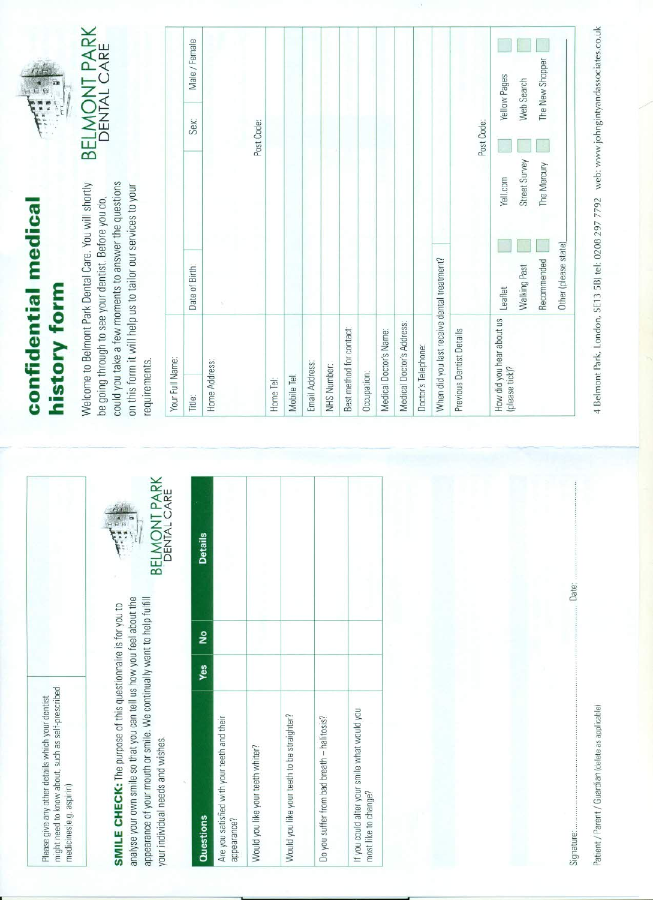might need to know about, such as self-prescribed Please give any other details which your dentist medicines(e.g. aspirin)

analyse your own smile so that you can tell us how you feel about the appearance of your mouth or smile. We continually want to help fulfill **SMILE CHECK:** The purpose of this questionnaire is for you to your individual needs and wishes.



| å<br>Yes<br>Would you like your teeth to be straighter?<br>Are you satisfied with your teeth and their<br>Do you suffer from bad breath - halitosis?<br>Would you like your teeth whiter?<br><b>Questions</b><br>appearance? | <b>Details</b> |  |
|------------------------------------------------------------------------------------------------------------------------------------------------------------------------------------------------------------------------------|----------------|--|
| If you could alter your smile what would you<br>most like to change?                                                                                                                                                         |                |  |

## confidential medical history form

could you take a few moments to answer the questions Welcome to Belmont Park Dental Care. You will shortly on this form it will help us to tailor our services to your be going through to see your dentist. Before you do, requirements.



| Your Full Name:                             |                      |               |            |                 |
|---------------------------------------------|----------------------|---------------|------------|-----------------|
| Title:                                      | Date of Birth:       |               | Sex:       | Male / Female   |
| Home Address:                               |                      |               |            |                 |
|                                             |                      |               |            |                 |
|                                             |                      |               | Post Code: |                 |
| Home Tel:                                   |                      |               |            |                 |
| Mobile Tel:                                 |                      |               |            |                 |
| Email Address:                              |                      |               |            |                 |
| NHS Number:                                 |                      |               |            |                 |
| Best method for contact:                    |                      |               |            |                 |
| Occupation:                                 |                      |               |            |                 |
| Medical Doctor's Name:                      |                      |               |            |                 |
| Medical Doctor's Address:                   |                      |               |            |                 |
| Doctor's Telephone:                         |                      |               |            |                 |
| When did you last receive dental treatment? |                      |               |            |                 |
| Previous Dentist Details                    |                      |               | Post Code: |                 |
| How did you hear about us<br>(please tick)? | Leaflet              | Yell.com      |            | Yellow Pages    |
|                                             | Walking Past         | Street Survey |            | Web Search      |
|                                             | Recommended          | The Mercury   |            | The New Shopper |
|                                             | Other (please state) |               |            |                 |

Patient / Parent / Guardian (delete as applicable)

Signature:

Date:

4 Belmont Park, London, SE13 5BJ tel: 0208 297 7792 web: www.johngintyandassociates.co.uk